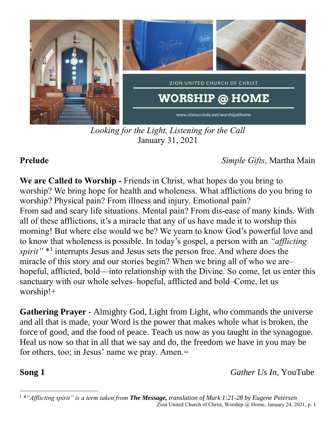

*Looking for the Light, Listening for the Call* January 31, 2021

**Prelude** *Simple Gifts*, Martha Main

**We are Called to Worship -** Friends in Christ, what hopes do you bring to worship? We bring hope for health and wholeness. What afflictions do you bring to worship? Physical pain? From illness and injury. Emotional pain? From sad and scary life situations. Mental pain? From dis-ease of many kinds. With all of these afflictions, it's a miracle that any of us have made it to worship this morning! But where else would we be? We yearn to know God's powerful love and to know that wholeness is possible. In today's gospel, a person with an *"afflicting*  spirit"<sup>\*1</sup> interrupts Jesus and Jesus sets the person free. And where does the miracle of this story and our stories begin? When we bring all of who we are– hopeful, afflicted, bold—into relationship with the Divine. So come, let us enter this sanctuary with our whole selves–hopeful, afflicted and bold–Come, let us worship!+

**Gathering Prayer** - Almighty God, Light from Light, who commands the universe and all that is made, your Word is the power that makes whole what is broken, the force of good, and the food of peace. Teach us now as you taught in the synagogue. Heal us now so that in all that we say and do, the freedom we have in you may be for others, too; in Jesus' name we pray. Amen.=

**Song 1** *Gather Us In, YouTube* 

Zion United Church of Christ, Worship @ Home, January 24, 2021, p. 1 <sup>1</sup> *\*"Afflicting spirit" is a term taken from The Message, translation of Mark 1:21-28 by Eugene Petersen*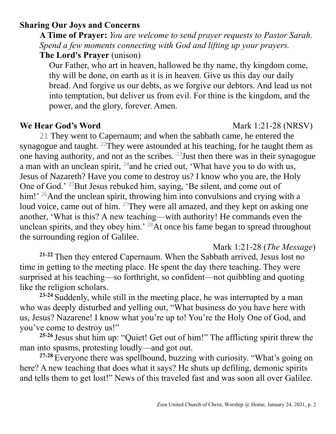## **Sharing Our Joys and Concerns**

**A Time of Prayer:** *You are welcome to send prayer requests to Pastor Sarah. Spend a few moments connecting with God and lifting up your prayers.*

**The Lord's Prayer** (unison)

Our Father, who art in heaven, hallowed be thy name, thy kingdom come, thy will be done, on earth as it is in heaven. Give us this day our daily bread. And forgive us our debts, as we forgive our debtors. And lead us not into temptation, but deliver us from evil. For thine is the kingdom, and the power, and the glory, forever. Amen.

**We Hear God's Word** Mark 1:21-28 (NRSV)

21 They went to Capernaum; and when the sabbath came, he entered the synagogue and taught. <sup>22</sup>They were astounded at his teaching, for he taught them as one having authority, and not as the scribes.  $^{23}$  Just then there was in their synagogue a man with an unclean spirit, <sup>24</sup>and he cried out, 'What have you to do with us, Jesus of Nazareth? Have you come to destroy us? I know who you are, the Holy One of God.' <sup>25</sup>But Jesus rebuked him, saying, 'Be silent, and come out of him!' <sup>26</sup>And the unclean spirit, throwing him into convulsions and crying with a loud voice, came out of him. <sup>27</sup>They were all amazed, and they kept on asking one another, 'What is this? A new teaching—with authority! He commands even the unclean spirits, and they obey him.' <sup>28</sup>At once his fame began to spread throughout the surrounding region of Galilee.

Mark 1:21-28 (*The Message*)

**21-22** Then they entered Capernaum. When the Sabbath arrived, Jesus lost no time in getting to the meeting place. He spent the day there teaching. They were surprised at his teaching—so forthright, so confident—not quibbling and quoting like the religion scholars.

**23-24** Suddenly, while still in the meeting place, he was interrupted by a man who was deeply disturbed and yelling out, "What business do you have here with us, Jesus? Nazarene! I know what you're up to! You're the Holy One of God, and you've come to destroy us!"

**25-26** Jesus shut him up: "Quiet! Get out of him!" The afflicting spirit threw the man into spasms, protesting loudly—and got out.

**27-28** Everyone there was spellbound, buzzing with curiosity. "What's going on here? A new teaching that does what it says? He shuts up defiling, demonic spirits and tells them to get lost!" News of this traveled fast and was soon all over Galilee.